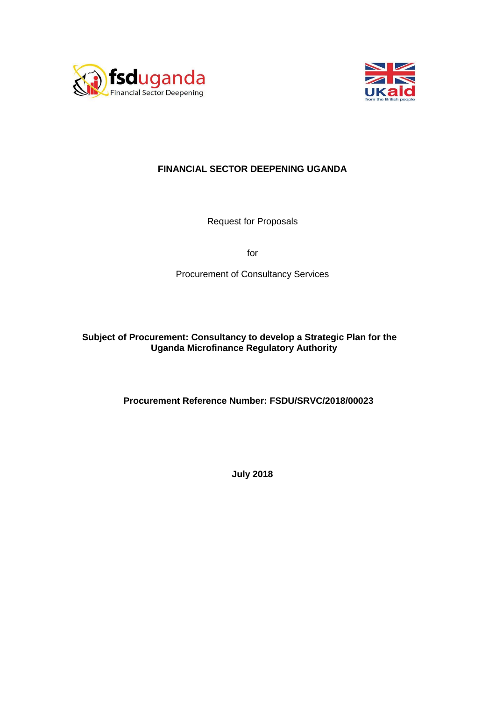



# **FINANCIAL SECTOR DEEPENING UGANDA**

Request for Proposals

for

Procurement of Consultancy Services

**Subject of Procurement: Consultancy to develop a Strategic Plan for the Uganda Microfinance Regulatory Authority**

**Procurement Reference Number: FSDU/SRVC/2018/00023**

**July 2018**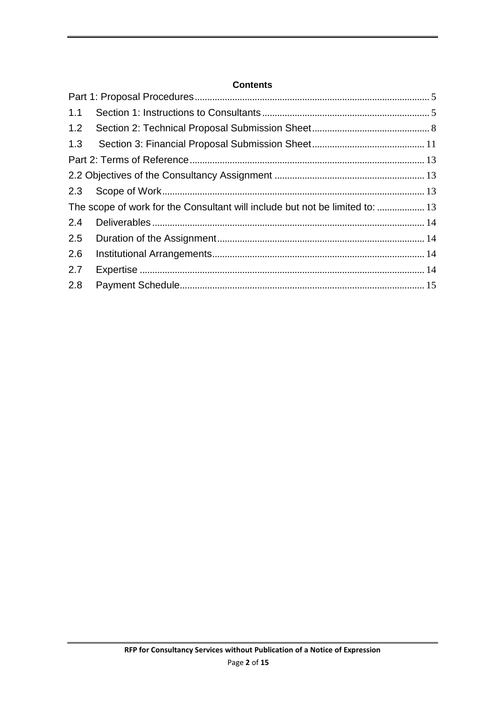## **Contents**

| 1.1 |                                                                              |  |
|-----|------------------------------------------------------------------------------|--|
| 1.2 |                                                                              |  |
| 1.3 |                                                                              |  |
|     |                                                                              |  |
|     |                                                                              |  |
|     |                                                                              |  |
|     | The scope of work for the Consultant will include but not be limited to:  13 |  |
| 2.4 |                                                                              |  |
| 2.5 |                                                                              |  |
| 2.6 |                                                                              |  |
| 2.7 |                                                                              |  |
| 2.8 |                                                                              |  |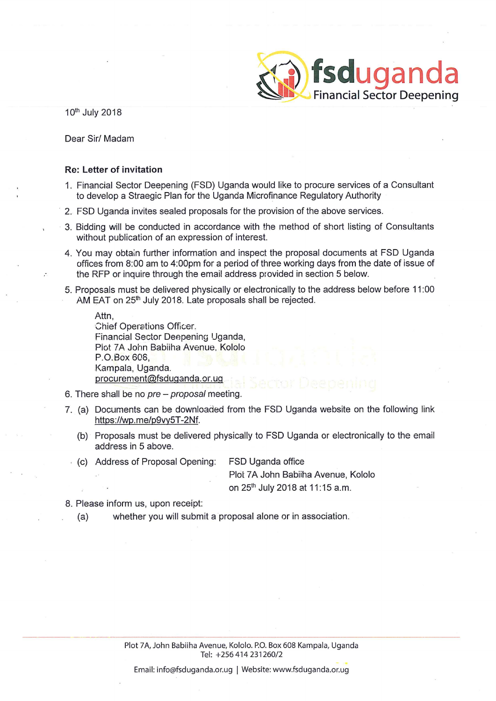

10th July 2018

Dear Sir/ Madam

#### **Re: Letter of invitation**

- 1. Financial Sector Deepening (FSD) Uganda would like to procure services of a Consultant to develop a Straegic Plan for the Uganda Microfinance Regulatory Authority
- 2. FSD Uganda invites sealed proposals for the provision of the above services.
- 3. Bidding will be conducted in accordance with the method of short listing of Consultants without publication of an expression of interest.
- 4. You may obtain further information and inspect the proposal documents at FSD Uganda offices from 8:00 am to 4:00pm for a period of three working days from the date of issue of the RFP or inquire through the email address provided in section 5 below.
- 5. Proposals must be delivered physically or electronically to the address below before 11:00 AM EAT on 25<sup>th</sup> July 2018. Late proposals shall be rejected.

Attn. Chief Operations Officer. Financial Sector Deepening Uganda, Piot 7A John Babiiha Avenue, Kololo P.O.Box 608. Kampala, Uganda. procurement@fsduganda.or.ug

- 6. There shall be no pre proposal meeting.
- 7. (a) Documents can be downloaded from the FSD Uganda website on the following link https://wp.me/p9vy5T-2Nf.
	- (b) Proposals must be delivered physically to FSD Uganda or electronically to the email address in 5 above.
	- (c) Address of Proposal Opening: FSD Uganda office

Plot 7A John Babiiha Avenue, Kololo on 25<sup>th</sup> July 2018 at 11:15 a.m.

- 8. Please inform us, upon receipt:
	- whether you will submit a proposal alone or in association.  $(a)$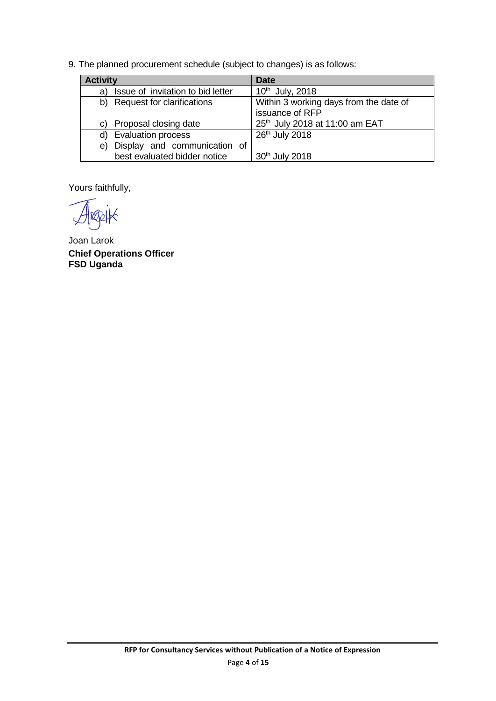9. The planned procurement schedule (subject to changes) is as follows:

| <b>Activity</b>                         | <b>Date</b>                            |  |  |  |
|-----------------------------------------|----------------------------------------|--|--|--|
| Issue of invitation to bid letter<br>a) | $10^{th}$ July, 2018                   |  |  |  |
| b) Request for clarifications           | Within 3 working days from the date of |  |  |  |
|                                         | issuance of RFP                        |  |  |  |
| Proposal closing date<br>C)             | 25th July 2018 at 11:00 am EAT         |  |  |  |
| <b>Evaluation process</b>               | 26 <sup>th</sup> July 2018             |  |  |  |
| e) Display and communication of         |                                        |  |  |  |
| best evaluated bidder notice            | 30 <sup>th</sup> July 2018             |  |  |  |

Yours faithfully,

Joan Larok **Chief Operations Officer FSD Uganda**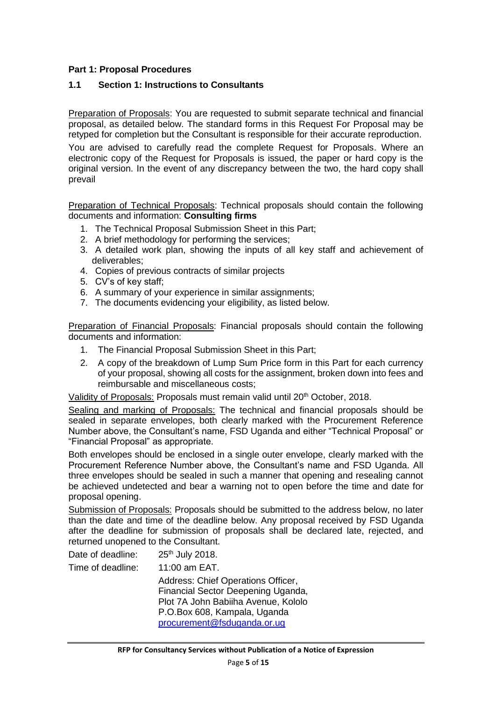### <span id="page-4-0"></span>**Part 1: Proposal Procedures**

#### <span id="page-4-1"></span>**1.1 Section 1: Instructions to Consultants**

Preparation of Proposals: You are requested to submit separate technical and financial proposal, as detailed below. The standard forms in this Request For Proposal may be retyped for completion but the Consultant is responsible for their accurate reproduction.

You are advised to carefully read the complete Request for Proposals. Where an electronic copy of the Request for Proposals is issued, the paper or hard copy is the original version. In the event of any discrepancy between the two, the hard copy shall prevail

Preparation of Technical Proposals: Technical proposals should contain the following documents and information: **Consulting firms**

- 1. The Technical Proposal Submission Sheet in this Part;
- 2. A brief methodology for performing the services;
- 3. A detailed work plan, showing the inputs of all key staff and achievement of deliverables;
- 4. Copies of previous contracts of similar projects
- 5. CV's of key staff;
- 6. A summary of your experience in similar assignments;
- 7. The documents evidencing your eligibility, as listed below.

Preparation of Financial Proposals: Financial proposals should contain the following documents and information:

- 1. The Financial Proposal Submission Sheet in this Part;
- 2. A copy of the breakdown of Lump Sum Price form in this Part for each currency of your proposal, showing all costs for the assignment, broken down into fees and reimbursable and miscellaneous costs;

Validity of Proposals: Proposals must remain valid until 20<sup>th</sup> October, 2018.

Sealing and marking of Proposals: The technical and financial proposals should be sealed in separate envelopes, both clearly marked with the Procurement Reference Number above, the Consultant's name, FSD Uganda and either "Technical Proposal" or "Financial Proposal" as appropriate.

Both envelopes should be enclosed in a single outer envelope, clearly marked with the Procurement Reference Number above, the Consultant's name and FSD Uganda. All three envelopes should be sealed in such a manner that opening and resealing cannot be achieved undetected and bear a warning not to open before the time and date for proposal opening.

Submission of Proposals: Proposals should be submitted to the address below, no later than the date and time of the deadline below. Any proposal received by FSD Uganda after the deadline for submission of proposals shall be declared late, rejected, and returned unopened to the Consultant.

| Date of deadline: | 25 <sup>th</sup> July 2018.                                                                                                                                                    |
|-------------------|--------------------------------------------------------------------------------------------------------------------------------------------------------------------------------|
| Time of deadline: | 11:00 am EAT.                                                                                                                                                                  |
|                   | Address: Chief Operations Officer,<br>Financial Sector Deepening Uganda,<br>Plot 7A John Babiiha Avenue, Kololo<br>P.O.Box 608, Kampala, Uganda<br>procurement@fsduganda.or.ug |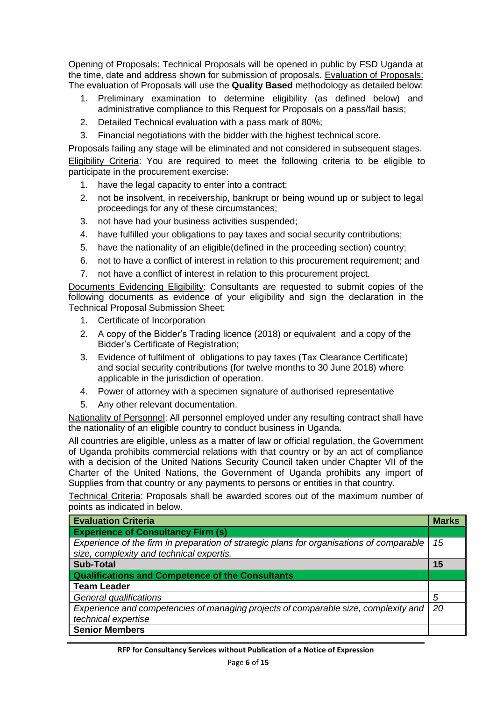Opening of Proposals: Technical Proposals will be opened in public by FSD Uganda at the time, date and address shown for submission of proposals. Evaluation of Proposals: The evaluation of Proposals will use the **Quality Based** methodology as detailed below:

- 1. Preliminary examination to determine eligibility (as defined below) and administrative compliance to this Request for Proposals on a pass/fail basis;
- 2. Detailed Technical evaluation with a pass mark of 80%;
- 3. Financial negotiations with the bidder with the highest technical score.

Proposals failing any stage will be eliminated and not considered in subsequent stages. Eligibility Criteria: You are required to meet the following criteria to be eligible to participate in the procurement exercise:

- 1. have the legal capacity to enter into a contract;
- 2. not be insolvent, in receivership, bankrupt or being wound up or subject to legal proceedings for any of these circumstances;
- 3. not have had your business activities suspended;
- 4. have fulfilled your obligations to pay taxes and social security contributions;
- 5. have the nationality of an eligible(defined in the proceeding section) country;
- 6. not to have a conflict of interest in relation to this procurement requirement; and
- 7. not have a conflict of interest in relation to this procurement project.

Documents Evidencing Eligibility: Consultants are requested to submit copies of the following documents as evidence of your eligibility and sign the declaration in the Technical Proposal Submission Sheet:

- 1. Certificate of Incorporation
- 2. A copy of the Bidder's Trading licence (2018) or equivalent and a copy of the Bidder's Certificate of Registration;
- 3. Evidence of fulfilment of obligations to pay taxes (Tax Clearance Certificate) and social security contributions (for twelve months to 30 June 2018) where applicable in the jurisdiction of operation.
- 4. Power of attorney with a specimen signature of authorised representative
- 5. Any other relevant documentation.

Nationality of Personnel: All personnel employed under any resulting contract shall have the nationality of an eligible country to conduct business in Uganda.

All countries are eligible, unless as a matter of law or official regulation, the Government of Uganda prohibits commercial relations with that country or by an act of compliance with a decision of the United Nations Security Council taken under Chapter VII of the Charter of the United Nations, the Government of Uganda prohibits any import of Supplies from that country or any payments to persons or entities in that country.

Technical Criteria: Proposals shall be awarded scores out of the maximum number of points as indicated in below.

| <b>Evaluation Criteria</b>                                                               | <b>Marks</b> |
|------------------------------------------------------------------------------------------|--------------|
| <b>Experience of Consultancy Firm (s)</b>                                                |              |
| Experience of the firm in preparation of strategic plans for organisations of comparable | 15           |
| size, complexity and technical expertis.                                                 |              |
| <b>Sub-Total</b>                                                                         | 15           |
| <b>Qualifications and Competence of the Consultants</b>                                  |              |
| <b>Team Leader</b>                                                                       |              |
| General qualifications                                                                   | 5            |
| Experience and competencies of managing projects of comparable size, complexity and      | 20           |
| technical expertise                                                                      |              |
| <b>Senior Members</b>                                                                    |              |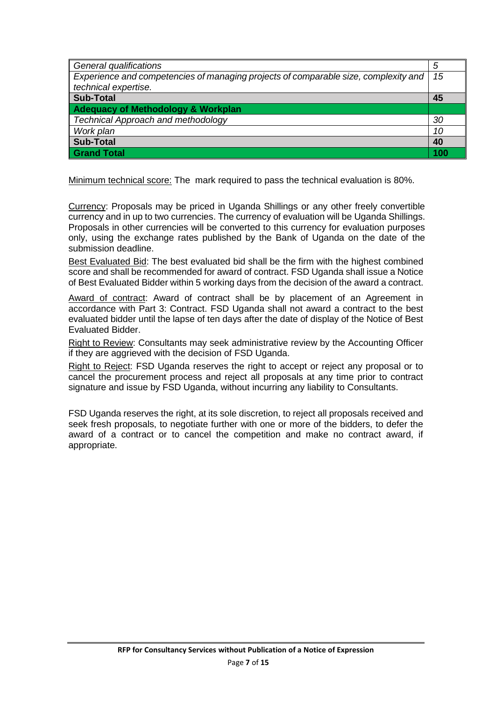| General qualifications                                                              | 5   |
|-------------------------------------------------------------------------------------|-----|
| Experience and competencies of managing projects of comparable size, complexity and | 15  |
| technical expertise.                                                                |     |
| <b>Sub-Total</b>                                                                    | 45  |
| <b>Adequacy of Methodology &amp; Workplan</b>                                       |     |
| <b>Technical Approach and methodology</b>                                           | 30  |
| Work plan                                                                           | 10  |
| <b>Sub-Total</b>                                                                    | 40  |
| <b>Grand Total</b>                                                                  | 100 |

Minimum technical score: The mark required to pass the technical evaluation is 80%.

Currency: Proposals may be priced in Uganda Shillings or any other freely convertible currency and in up to two currencies. The currency of evaluation will be Uganda Shillings. Proposals in other currencies will be converted to this currency for evaluation purposes only, using the exchange rates published by the Bank of Uganda on the date of the submission deadline.

Best Evaluated Bid: The best evaluated bid shall be the firm with the highest combined score and shall be recommended for award of contract. FSD Uganda shall issue a Notice of Best Evaluated Bidder within 5 working days from the decision of the award a contract.

Award of contract: Award of contract shall be by placement of an Agreement in accordance with Part 3: Contract. FSD Uganda shall not award a contract to the best evaluated bidder until the lapse of ten days after the date of display of the Notice of Best Evaluated Bidder.

Right to Review: Consultants may seek administrative review by the Accounting Officer if they are aggrieved with the decision of FSD Uganda.

Right to Reject: FSD Uganda reserves the right to accept or reject any proposal or to cancel the procurement process and reject all proposals at any time prior to contract signature and issue by FSD Uganda, without incurring any liability to Consultants.

FSD Uganda reserves the right, at its sole discretion, to reject all proposals received and seek fresh proposals, to negotiate further with one or more of the bidders, to defer the award of a contract or to cancel the competition and make no contract award, if appropriate.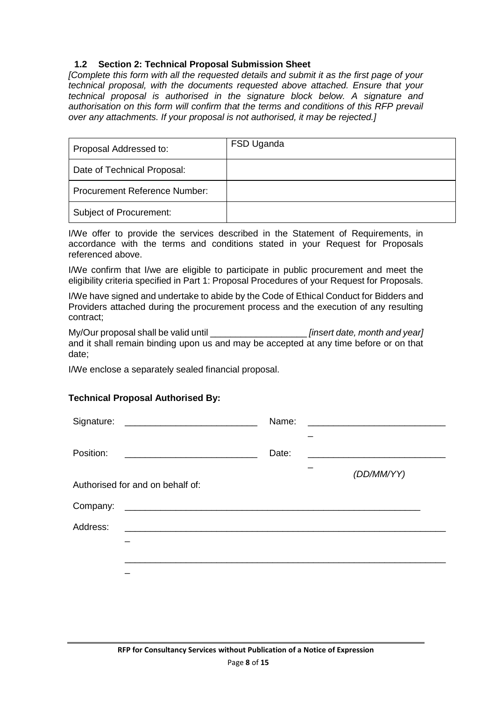## <span id="page-7-0"></span>**1.2 Section 2: Technical Proposal Submission Sheet**

*[Complete this form with all the requested details and submit it as the first page of your technical proposal, with the documents requested above attached. Ensure that your technical proposal is authorised in the signature block below. A signature and authorisation on this form will confirm that the terms and conditions of this RFP prevail over any attachments. If your proposal is not authorised, it may be rejected.]* 

| Proposal Addressed to:               | FSD Uganda |
|--------------------------------------|------------|
| Date of Technical Proposal:          |            |
| <b>Procurement Reference Number:</b> |            |
| Subject of Procurement:              |            |

I/We offer to provide the services described in the Statement of Requirements, in accordance with the terms and conditions stated in your Request for Proposals referenced above.

I/We confirm that I/we are eligible to participate in public procurement and meet the eligibility criteria specified in Part 1: Proposal Procedures of your Request for Proposals.

I/We have signed and undertake to abide by the Code of Ethical Conduct for Bidders and Providers attached during the procurement process and the execution of any resulting contract;

My/Our proposal shall be valid until \_\_\_\_\_\_\_\_\_\_\_\_\_\_\_\_\_\_\_ *[insert date, month and year]* and it shall remain binding upon us and may be accepted at any time before or on that date;

I/We enclose a separately sealed financial proposal.

### **Technical Proposal Authorised By:**

| Signature: | <u> 1989 - Jan Barnett, fransk politiker (d. 1989)</u> | Name: |            |
|------------|--------------------------------------------------------|-------|------------|
| Position:  |                                                        | Date: |            |
|            | Authorised for and on behalf of:                       |       | (DD/MM/YY) |
| Company:   |                                                        |       |            |
| Address:   |                                                        |       |            |
|            |                                                        |       |            |
|            |                                                        |       |            |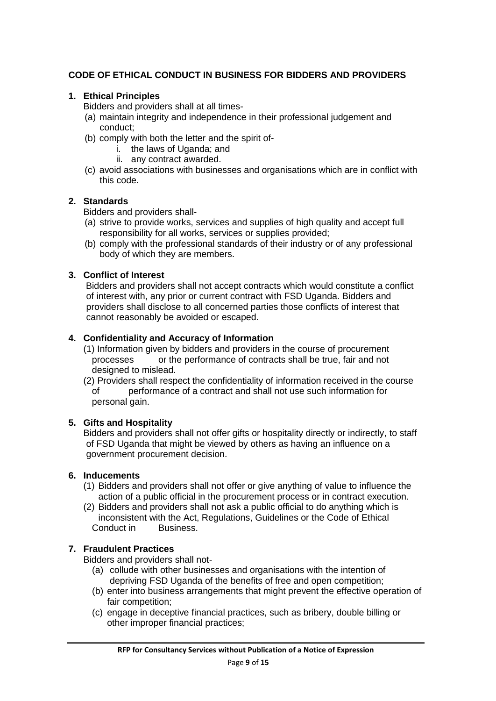## **CODE OF ETHICAL CONDUCT IN BUSINESS FOR BIDDERS AND PROVIDERS**

### **1. Ethical Principles**

Bidders and providers shall at all times-

- (a) maintain integrity and independence in their professional judgement and conduct;
- (b) comply with both the letter and the spirit of
	- i. the laws of Uganda; and
	- ii. any contract awarded.
- (c) avoid associations with businesses and organisations which are in conflict with this code.

#### **2. Standards**

Bidders and providers shall-

- (a) strive to provide works, services and supplies of high quality and accept full responsibility for all works, services or supplies provided;
- (b) comply with the professional standards of their industry or of any professional body of which they are members.

### **3. Conflict of Interest**

Bidders and providers shall not accept contracts which would constitute a conflict of interest with, any prior or current contract with FSD Uganda. Bidders and providers shall disclose to all concerned parties those conflicts of interest that cannot reasonably be avoided or escaped.

### **4. Confidentiality and Accuracy of Information**

- (1) Information given by bidders and providers in the course of procurement processes or the performance of contracts shall be true, fair and not designed to mislead.
- (2) Providers shall respect the confidentiality of information received in the course of performance of a contract and shall not use such information for personal gain.

### **5. Gifts and Hospitality**

Bidders and providers shall not offer gifts or hospitality directly or indirectly, to staff of FSD Uganda that might be viewed by others as having an influence on a government procurement decision.

#### **6. Inducements**

- (1) Bidders and providers shall not offer or give anything of value to influence the action of a public official in the procurement process or in contract execution.
- (2) Bidders and providers shall not ask a public official to do anything which is inconsistent with the Act, Regulations, Guidelines or the Code of Ethical Conduct in Business.

### **7. Fraudulent Practices**

Bidders and providers shall not-

- (a) collude with other businesses and organisations with the intention of depriving FSD Uganda of the benefits of free and open competition;
- (b) enter into business arrangements that might prevent the effective operation of fair competition;
- (c) engage in deceptive financial practices, such as bribery, double billing or other improper financial practices;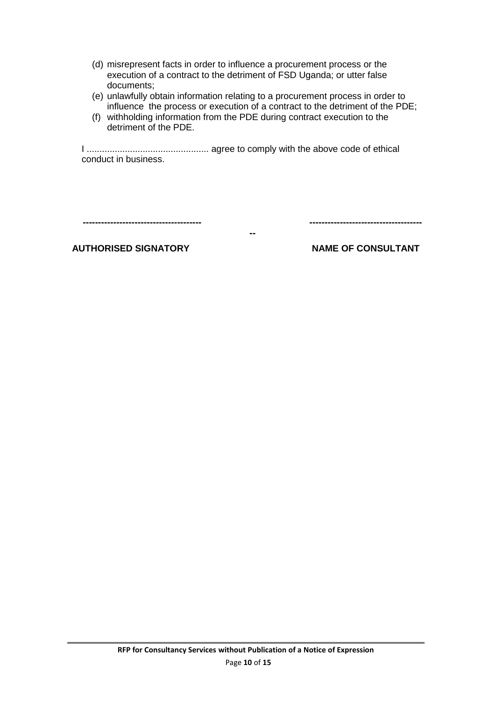- (d) misrepresent facts in order to influence a procurement process or the execution of a contract to the detriment of FSD Uganda; or utter false documents;
- (e) unlawfully obtain information relating to a procurement process in order to influence the process or execution of a contract to the detriment of the PDE;
- (f) withholding information from the PDE during contract execution to the detriment of the PDE.

I ................................................ agree to comply with the above code of ethical conduct in business.

**--**

**--------------------------------------- -------------------------------------**

**AUTHORISED SIGNATORY NAME OF CONSULTANT**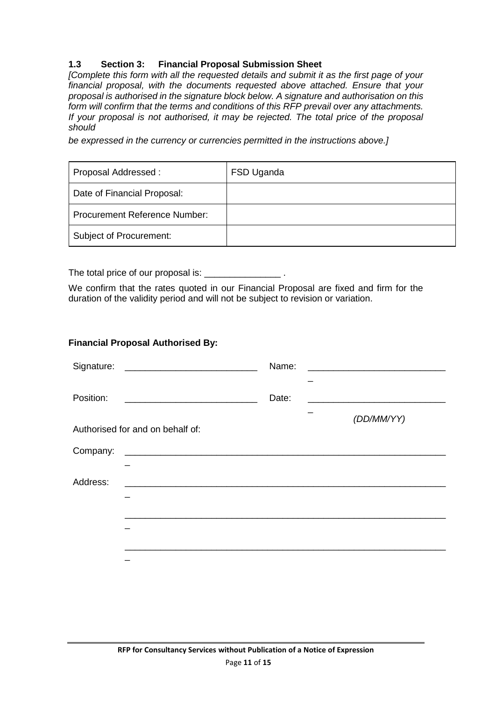## <span id="page-10-0"></span>**1.3 Section 3: Financial Proposal Submission Sheet**

*[Complete this form with all the requested details and submit it as the first page of your financial proposal, with the documents requested above attached. Ensure that your proposal is authorised in the signature block below. A signature and authorisation on this form will confirm that the terms and conditions of this RFP prevail over any attachments. If your proposal is not authorised, it may be rejected. The total price of the proposal should* 

*be expressed in the currency or currencies permitted in the instructions above.]*

| Proposal Addressed:                  | FSD Uganda |
|--------------------------------------|------------|
| Date of Financial Proposal:          |            |
| <b>Procurement Reference Number:</b> |            |
| Subject of Procurement:              |            |

The total price of our proposal is: \_\_\_\_\_\_\_\_\_\_\_

We confirm that the rates quoted in our Financial Proposal are fixed and firm for the duration of the validity period and will not be subject to revision or variation.

#### **Financial Proposal Authorised By:**

|           |                                  | Name: |                                                                                           |
|-----------|----------------------------------|-------|-------------------------------------------------------------------------------------------|
| Position: |                                  | Date: | the control of the control of the control of the control of the control of the control of |
|           | Authorised for and on behalf of: |       | (DD/MM/YY)                                                                                |
|           |                                  |       |                                                                                           |
|           |                                  |       |                                                                                           |
| Address:  |                                  |       |                                                                                           |
|           |                                  |       |                                                                                           |
|           |                                  |       |                                                                                           |
|           |                                  |       |                                                                                           |
|           |                                  |       |                                                                                           |
|           |                                  |       |                                                                                           |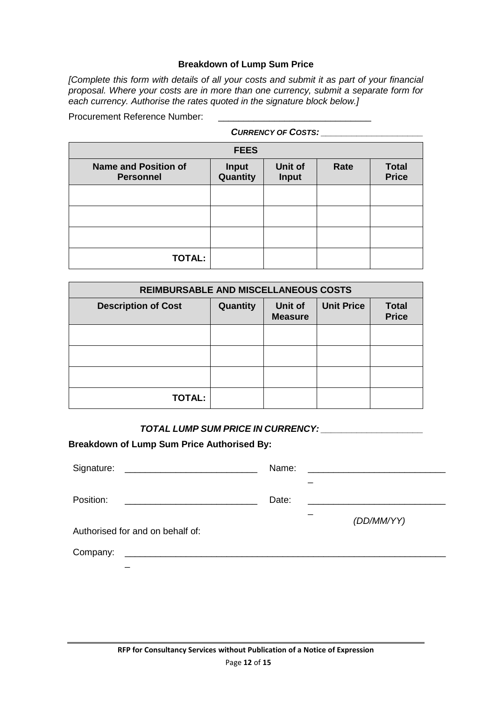#### **Breakdown of Lump Sum Price**

*[Complete this form with details of all your costs and submit it as part of your financial proposal. Where your costs are in more than one currency, submit a separate form for each currency. Authorise the rates quoted in the signature block below.]*

Procurement Reference Number:

| <b>CURRENCY OF COSTS:</b>                       |                          |                         |      |                              |  |  |
|-------------------------------------------------|--------------------------|-------------------------|------|------------------------------|--|--|
|                                                 | <b>FEES</b>              |                         |      |                              |  |  |
| <b>Name and Position of</b><br><b>Personnel</b> | <b>Input</b><br>Quantity | Unit of<br><b>Input</b> | Rate | <b>Total</b><br><b>Price</b> |  |  |
|                                                 |                          |                         |      |                              |  |  |
|                                                 |                          |                         |      |                              |  |  |
|                                                 |                          |                         |      |                              |  |  |
| <b>TOTAL:</b>                                   |                          |                         |      |                              |  |  |

| <b>REIMBURSABLE AND MISCELLANEOUS COSTS</b> |          |                           |                   |                              |  |
|---------------------------------------------|----------|---------------------------|-------------------|------------------------------|--|
| <b>Description of Cost</b>                  | Quantity | Unit of<br><b>Measure</b> | <b>Unit Price</b> | <b>Total</b><br><b>Price</b> |  |
|                                             |          |                           |                   |                              |  |
|                                             |          |                           |                   |                              |  |
|                                             |          |                           |                   |                              |  |
| <b>TOTAL:</b>                               |          |                           |                   |                              |  |

*TOTAL LUMP SUM PRICE IN CURRENCY: \_\_\_\_\_\_\_\_\_\_\_\_\_\_\_\_\_\_\_\_*

**Breakdown of Lump Sum Price Authorised By:**

| Signature:<br><u> 1989 - Andrea Andrew Maria (h. 1989).</u> | Name: | <u> 1980 - Andrea Andrew Maria (h. 1980).</u> |
|-------------------------------------------------------------|-------|-----------------------------------------------|
| Position:                                                   | Date: |                                               |
| Authorised for and on behalf of:                            |       | (DD/MM/YY)                                    |
| Company:                                                    |       |                                               |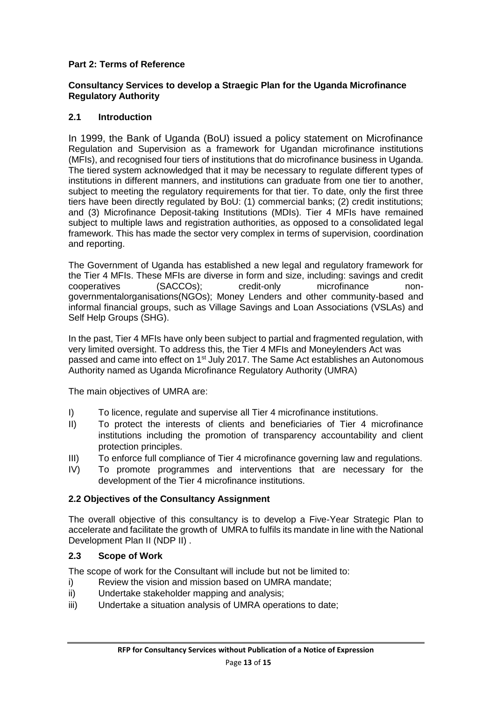## <span id="page-12-0"></span>**Part 2: Terms of Reference**

#### **Consultancy Services to develop a Straegic Plan for the Uganda Microfinance Regulatory Authority**

## **2.1 Introduction**

In 1999, the Bank of Uganda (BoU) issued a policy statement on Microfinance Regulation and Supervision as a framework for Ugandan microfinance institutions (MFIs), and recognised four tiers of institutions that do microfinance business in Uganda. The tiered system acknowledged that it may be necessary to regulate different types of institutions in different manners, and institutions can graduate from one tier to another, subject to meeting the regulatory requirements for that tier. To date, only the first three tiers have been directly regulated by BoU: (1) commercial banks; (2) credit institutions; and (3) Microfinance Deposit-taking Institutions (MDIs). Tier 4 MFIs have remained subject to multiple laws and registration authorities, as opposed to a consolidated legal framework. This has made the sector very complex in terms of supervision, coordination and reporting.

The Government of Uganda has established a new legal and regulatory framework for the Tier 4 MFIs. These MFIs are diverse in form and size, including: savings and credit cooperatives (SACCOs); credit-only microfinance nongovernmentalorganisations(NGOs); Money Lenders and other community-based and informal financial groups, such as Village Savings and Loan Associations (VSLAs) and Self Help Groups (SHG).

In the past, Tier 4 MFIs have only been subject to partial and fragmented regulation, with very limited oversight. To address this, the Tier 4 MFIs and Moneylenders Act was passed and came into effect on 1<sup>st</sup> July 2017. The Same Act establishes an Autonomous Authority named as Uganda Microfinance Regulatory Authority (UMRA)

The main objectives of UMRA are:

- I) To licence, regulate and supervise all Tier 4 microfinance institutions.
- II) To protect the interests of clients and beneficiaries of Tier 4 microfinance institutions including the promotion of transparency accountability and client protection principles.
- III) To enforce full compliance of Tier 4 microfinance governing law and regulations.
- IV) To promote programmes and interventions that are necessary for the development of the Tier 4 microfinance institutions.

### <span id="page-12-1"></span>**2.2 Objectives of the Consultancy Assignment**

The overall objective of this consultancy is to develop a Five-Year Strategic Plan to accelerate and facilitate the growth of UMRA to fulfils its mandate in line with the National Development Plan II (NDP II) .

### <span id="page-12-2"></span>**2.3 Scope of Work**

<span id="page-12-3"></span>The scope of work for the Consultant will include but not be limited to:

- i) Review the vision and mission based on UMRA mandate;
- ii) Undertake stakeholder mapping and analysis;
- iii) Undertake a situation analysis of UMRA operations to date;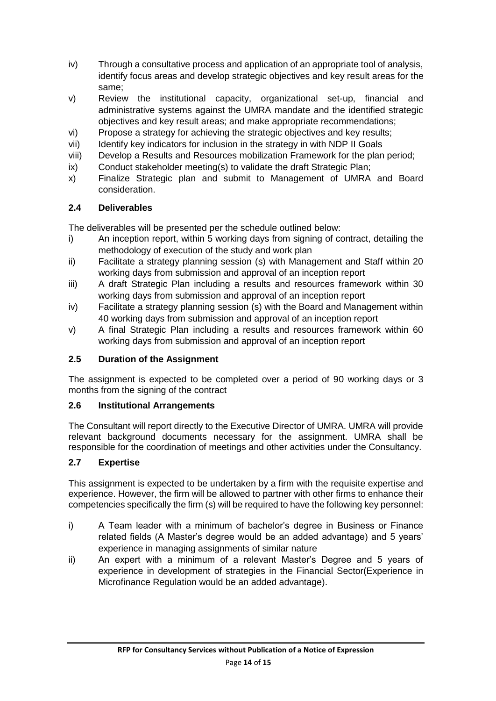- iv) Through a consultative process and application of an appropriate tool of analysis, identify focus areas and develop strategic objectives and key result areas for the same;
- v) Review the institutional capacity, organizational set-up, financial and administrative systems against the UMRA mandate and the identified strategic objectives and key result areas; and make appropriate recommendations;
- vi) Propose a strategy for achieving the strategic objectives and key results;
- vii) Identify key indicators for inclusion in the strategy in with NDP II Goals
- viii) Develop a Results and Resources mobilization Framework for the plan period;
- ix) Conduct stakeholder meeting(s) to validate the draft Strategic Plan;
- x) Finalize Strategic plan and submit to Management of UMRA and Board consideration.

# <span id="page-13-0"></span>**2.4 Deliverables**

The deliverables will be presented per the schedule outlined below:

- i) An inception report, within 5 working days from signing of contract, detailing the methodology of execution of the study and work plan
- ii) Facilitate a strategy planning session (s) with Management and Staff within 20 working days from submission and approval of an inception report
- iii) A draft Strategic Plan including a results and resources framework within 30 working days from submission and approval of an inception report
- iv) Facilitate a strategy planning session (s) with the Board and Management within 40 working days from submission and approval of an inception report
- v) A final Strategic Plan including a results and resources framework within 60 working days from submission and approval of an inception report

# <span id="page-13-1"></span>**2.5 Duration of the Assignment**

The assignment is expected to be completed over a period of 90 working days or 3 months from the signing of the contract

# <span id="page-13-2"></span>**2.6 Institutional Arrangements**

The Consultant will report directly to the Executive Director of UMRA. UMRA will provide relevant background documents necessary for the assignment. UMRA shall be responsible for the coordination of meetings and other activities under the Consultancy.

# <span id="page-13-3"></span>**2.7 Expertise**

This assignment is expected to be undertaken by a firm with the requisite expertise and experience. However, the firm will be allowed to partner with other firms to enhance their competencies specifically the firm (s) will be required to have the following key personnel:

- i) A Team leader with a minimum of bachelor's degree in Business or Finance related fields (A Master's degree would be an added advantage) and 5 years' experience in managing assignments of similar nature
- ii) An expert with a minimum of a relevant Master's Degree and 5 years of experience in development of strategies in the Financial Sector(Experience in Microfinance Regulation would be an added advantage).